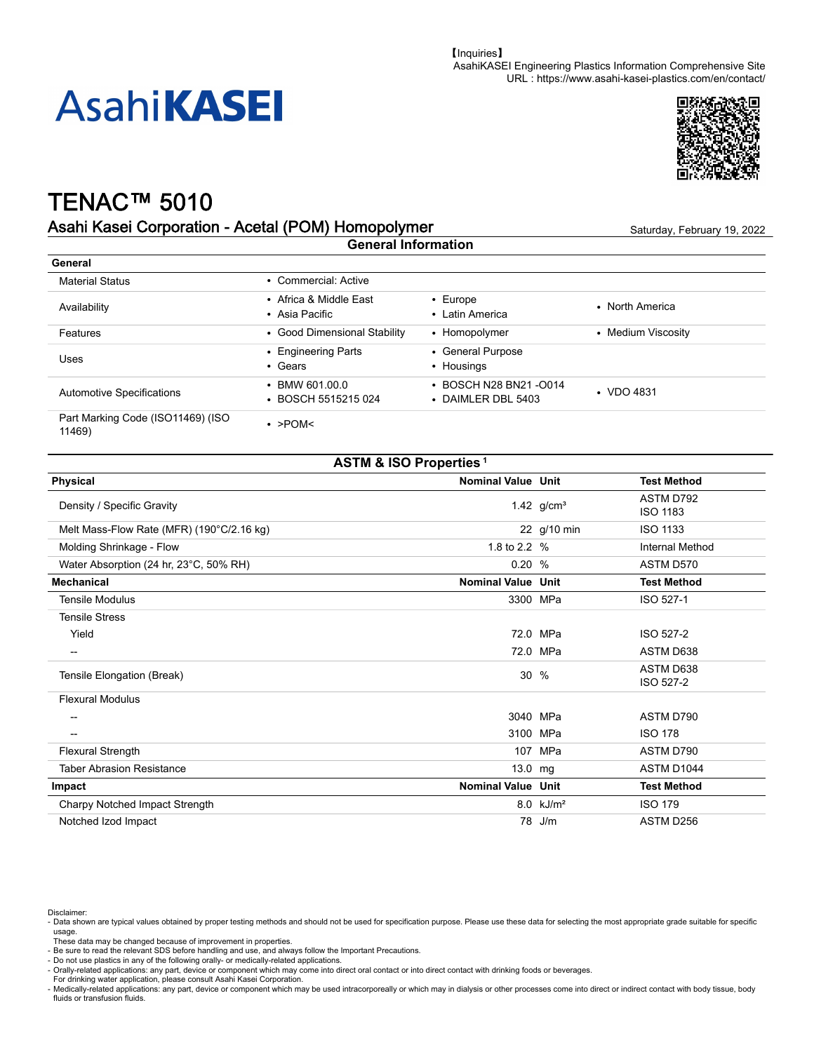



# TENAC™ 5010

#### Asahi Kasei Corporation - Acetal (POM) Homopolymer Saturday, February 19, 2022 **General Information**

| General                                     |                                             |                                             |                    |
|---------------------------------------------|---------------------------------------------|---------------------------------------------|--------------------|
| <b>Material Status</b>                      | • Commercial: Active                        |                                             |                    |
| Availability                                | • Africa & Middle East<br>• Asia Pacific    | $\cdot$ Europe<br>• Latin America           | • North America    |
| Features                                    | • Good Dimensional Stability                | • Homopolymer                               | • Medium Viscosity |
| Uses                                        | • Engineering Parts<br>$\cdot$ Gears        | • General Purpose<br>• Housings             |                    |
| <b>Automotive Specifications</b>            | $\cdot$ BMW 601.00.0<br>• BOSCH 5515215 024 | • BOSCH N28 BN21-0014<br>• DAIMLER DBL 5403 | $\cdot$ VDO 4831   |
| Part Marking Code (ISO11469) (ISO<br>11469) | $\cdot$ >POM<                               |                                             |                    |

### **ASTM & ISO Properties<sup>1</sup>**

| Physical                                  | <b>Nominal Value Unit</b> |                      | <b>Test Method</b>           |
|-------------------------------------------|---------------------------|----------------------|------------------------------|
| Density / Specific Gravity                |                           | 1.42 $g/cm^{3}$      | ASTM D792<br><b>ISO 1183</b> |
| Melt Mass-Flow Rate (MFR) (190°C/2.16 kg) |                           | 22 g/10 min          | <b>ISO 1133</b>              |
| Molding Shrinkage - Flow                  | 1.8 to 2.2 %              |                      | <b>Internal Method</b>       |
| Water Absorption (24 hr, 23°C, 50% RH)    | 0.20%                     |                      | ASTM D570                    |
| <b>Mechanical</b>                         | <b>Nominal Value Unit</b> |                      | <b>Test Method</b>           |
| <b>Tensile Modulus</b>                    |                           | 3300 MPa             | ISO 527-1                    |
| <b>Tensile Stress</b>                     |                           |                      |                              |
| Yield                                     |                           | 72.0 MPa             | ISO 527-2                    |
| --                                        |                           | 72.0 MPa             | ASTM D638                    |
| Tensile Elongation (Break)                |                           | $30\%$               | ASTM D638<br>ISO 527-2       |
| <b>Flexural Modulus</b>                   |                           |                      |                              |
|                                           |                           | 3040 MPa             | ASTM D790                    |
| --                                        |                           | 3100 MPa             | <b>ISO 178</b>               |
| <b>Flexural Strength</b>                  |                           | 107 MPa              | ASTM D790                    |
| <b>Taber Abrasion Resistance</b>          | $13.0$ mg                 |                      | ASTM D1044                   |
| Impact                                    | <b>Nominal Value Unit</b> |                      | <b>Test Method</b>           |
| Charpy Notched Impact Strength            |                           | $8.0 \text{ kJ/m}^2$ | <b>ISO 179</b>               |
| Notched Izod Impact                       |                           | 78 J/m               | ASTM D256                    |

Disclaimer:

For drinking water application, please consult Asahi Kasei Corporation.

<sup>-</sup> Data shown are typical values obtained by proper testing methods and should not be used for specification purpose. Please use these data for selecting the most appropriate grade suitable for specific usage.

These data may be changed because of improvement in properties. - Be sure to read the relevant SDS before handling and use, and always follow the Important Precautions.

<sup>-</sup> Do not use plastics in any of the following orally- or medically-related applications. - Orally-related applications: any part, device or component which may come into direct oral contact or into direct contact with drinking foods or beverages.

<sup>-</sup> Medically-related applications: any part, device or component which may be used intracorporeally or which may in dialysis or other processes come into direct or indirect contact with body tissue, body fluids or transfusion fluids.